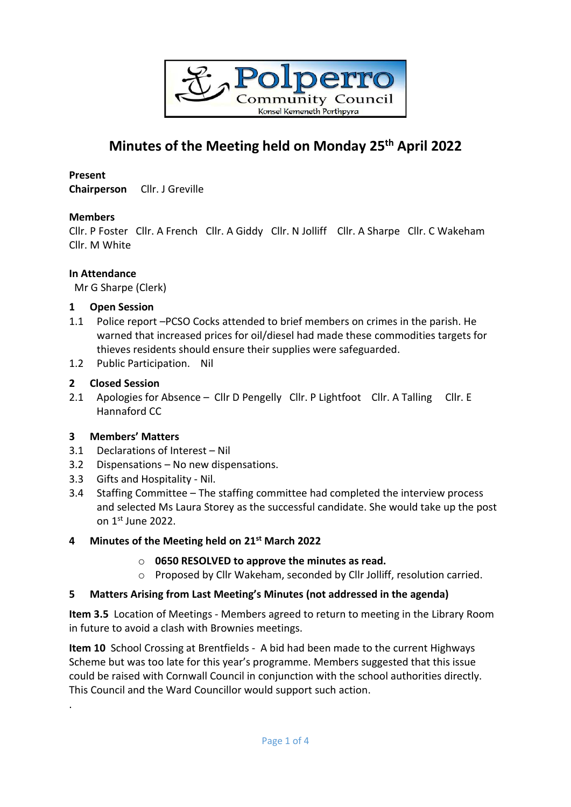

# **Minutes of the Meeting held on Monday 25 th April 2022**

## **Present**

**Chairperson** Cllr. J Greville

## **Members**

Cllr. P Foster Cllr. A French Cllr. A Giddy Cllr. N Jolliff Cllr. A Sharpe Cllr. C Wakeham Cllr. M White

## **In Attendance**

Mr G Sharpe (Clerk)

## **1 Open Session**

- 1.1 Police report –PCSO Cocks attended to brief members on crimes in the parish. He warned that increased prices for oil/diesel had made these commodities targets for thieves residents should ensure their supplies were safeguarded.
- 1.2 Public Participation. Nil

## **2 Closed Session**

2.1 Apologies for Absence - Cllr D Pengelly Cllr. P Lightfoot Cllr. A Talling Cllr. E Hannaford CC

# **3 Members' Matters**

.

- 3.1 Declarations of Interest Nil
- 3.2 Dispensations No new dispensations.
- 3.3 Gifts and Hospitality Nil.
- 3.4 Staffing Committee The staffing committee had completed the interview process and selected Ms Laura Storey as the successful candidate. She would take up the post on 1st June 2022.

## **4 Minutes of the Meeting held on 21 st March 2022**

- o **0650 RESOLVED to approve the minutes as read.**
- o Proposed by Cllr Wakeham, seconded by Cllr Jolliff, resolution carried.

## **5 Matters Arising from Last Meeting's Minutes (not addressed in the agenda)**

**Item 3.5** Location of Meetings - Members agreed to return to meeting in the Library Room in future to avoid a clash with Brownies meetings.

**Item 10** School Crossing at Brentfields - A bid had been made to the current Highways Scheme but was too late for this year's programme. Members suggested that this issue could be raised with Cornwall Council in conjunction with the school authorities directly. This Council and the Ward Councillor would support such action.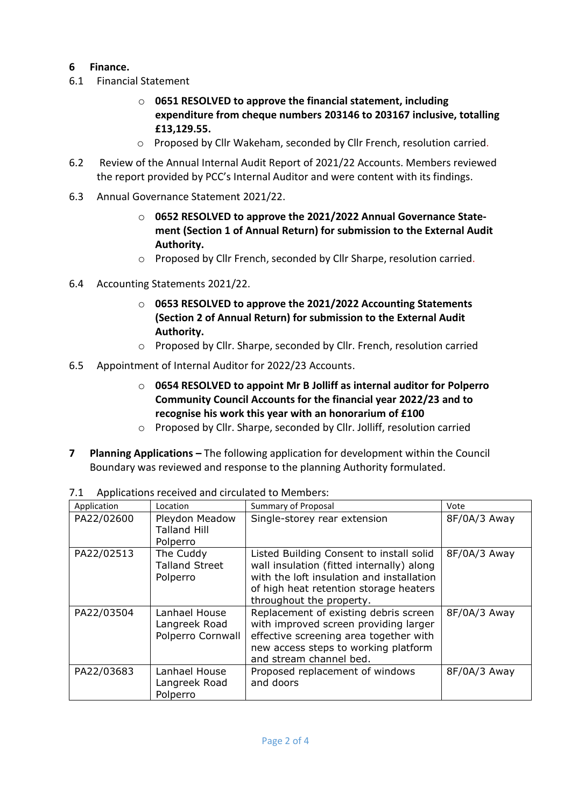## **6 Finance.**

- 6.1 Financial Statement
	- o **0651 RESOLVED to approve the financial statement, including expenditure from cheque numbers 203146 to 203167 inclusive, totalling £13,129.55.**
	- o Proposed by Cllr Wakeham, seconded by Cllr French, resolution carried.
- 6.2 Review of the Annual Internal Audit Report of 2021/22 Accounts. Members reviewed the report provided by PCC's Internal Auditor and were content with its findings.
- 6.3 Annual Governance Statement 2021/22.
	- o **0652 RESOLVED to approve the 2021/2022 Annual Governance Statement (Section 1 of Annual Return) for submission to the External Audit Authority.**
	- o Proposed by Cllr French, seconded by Cllr Sharpe, resolution carried.
- 6.4 Accounting Statements 2021/22.
	- o **0653 RESOLVED to approve the 2021/2022 Accounting Statements (Section 2 of Annual Return) for submission to the External Audit Authority.**
	- o Proposed by Cllr. Sharpe, seconded by Cllr. French, resolution carried
- 6.5 Appointment of Internal Auditor for 2022/23 Accounts.
	- o **0654 RESOLVED to appoint Mr B Jolliff as internal auditor for Polperro Community Council Accounts for the financial year 2022/23 and to recognise his work this year with an honorarium of £100**
	- o Proposed by Cllr. Sharpe, seconded by Cllr. Jolliff, resolution carried
- **7 Planning Applications –** The following application for development within the Council Boundary was reviewed and response to the planning Authority formulated.

| Application | Location                                            | <b>Summary of Proposal</b>                                                                                                                                                                               | Vote         |
|-------------|-----------------------------------------------------|----------------------------------------------------------------------------------------------------------------------------------------------------------------------------------------------------------|--------------|
| PA22/02600  | Pleydon Meadow<br><b>Talland Hill</b><br>Polperro   | Single-storey rear extension                                                                                                                                                                             | 8F/0A/3 Away |
| PA22/02513  | The Cuddy<br><b>Talland Street</b><br>Polperro      | Listed Building Consent to install solid<br>wall insulation (fitted internally) along<br>with the loft insulation and installation<br>of high heat retention storage heaters<br>throughout the property. | 8F/0A/3 Away |
| PA22/03504  | Lanhael House<br>Langreek Road<br>Polperro Cornwall | Replacement of existing debris screen<br>with improved screen providing larger<br>effective screening area together with<br>new access steps to working platform<br>and stream channel bed.              | 8F/0A/3 Away |
| PA22/03683  | Lanhael House<br>Langreek Road<br>Polperro          | Proposed replacement of windows<br>and doors                                                                                                                                                             | 8F/0A/3 Away |

7.1 Applications received and circulated to Members: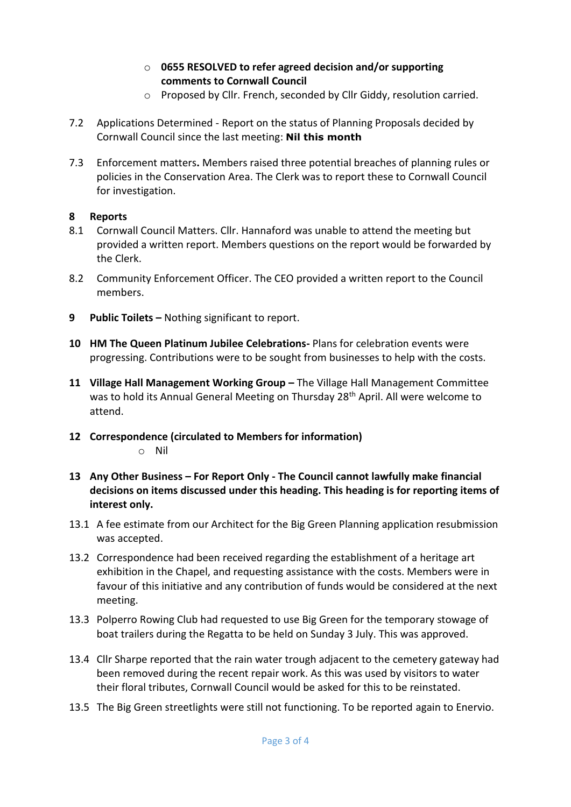- o **0655 RESOLVED to refer agreed decision and/or supporting comments to Cornwall Council**
- o Proposed by Cllr. French, seconded by Cllr Giddy, resolution carried.
- 7.2 Applications Determined Report on the status of Planning Proposals decided by Cornwall Council since the last meeting: **Nil this month**
- 7.3 Enforcement matters**.** Members raised three potential breaches of planning rules or policies in the Conservation Area. The Clerk was to report these to Cornwall Council for investigation.

## **8 Reports**

- 8.1 Cornwall Council Matters. Cllr. Hannaford was unable to attend the meeting but provided a written report. Members questions on the report would be forwarded by the Clerk.
- 8.2 Community Enforcement Officer. The CEO provided a written report to the Council members.
- **9 Public Toilets –** Nothing significant to report.
- **10 HM The Queen Platinum Jubilee Celebrations-** Plans for celebration events were progressing. Contributions were to be sought from businesses to help with the costs.
- **11 Village Hall Management Working Group –** The Village Hall Management Committee was to hold its Annual General Meeting on Thursday 28<sup>th</sup> April. All were welcome to attend.
- **12 Correspondence (circulated to Members for information)**  o Nil
- **13 Any Other Business – For Report Only - The Council cannot lawfully make financial decisions on items discussed under this heading. This heading is for reporting items of interest only.**
- 13.1 A fee estimate from our Architect for the Big Green Planning application resubmission was accepted.
- 13.2 Correspondence had been received regarding the establishment of a heritage art exhibition in the Chapel, and requesting assistance with the costs. Members were in favour of this initiative and any contribution of funds would be considered at the next meeting.
- 13.3 Polperro Rowing Club had requested to use Big Green for the temporary stowage of boat trailers during the Regatta to be held on Sunday 3 July. This was approved.
- 13.4 Cllr Sharpe reported that the rain water trough adjacent to the cemetery gateway had been removed during the recent repair work. As this was used by visitors to water their floral tributes, Cornwall Council would be asked for this to be reinstated.
- 13.5 The Big Green streetlights were still not functioning. To be reported again to Enervio.